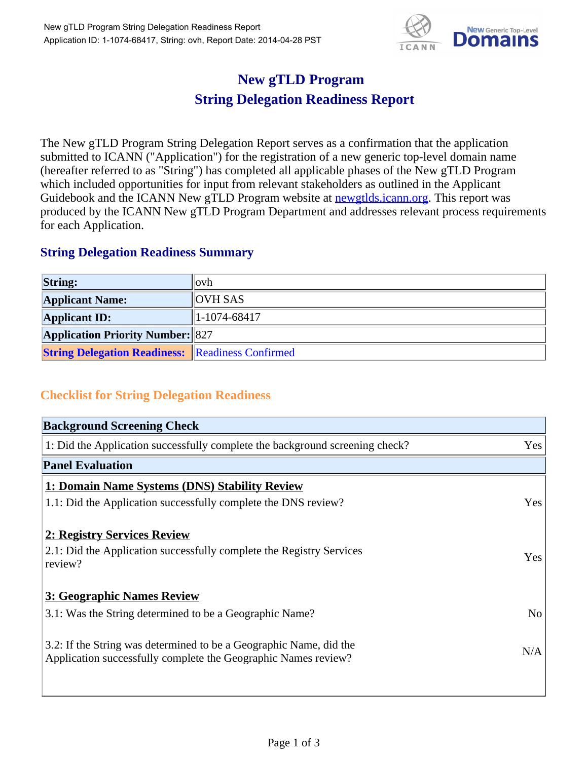

## **New gTLD Program String Delegation Readiness Report**

The New gTLD Program String Delegation Report serves as a confirmation that the application submitted to ICANN ("Application") for the registration of a new generic top-level domain name (hereafter referred to as "String") has completed all applicable phases of the New gTLD Program which included opportunities for input from relevant stakeholders as outlined in the Applicant Guidebook and the ICANN New gTLD Program website at newgtlds.icann.org. This report was produced by the ICANN New gTLD Program Department and addresses relevant process requirements for each Application.

## **String Delegation Readiness Summary**

| <b>String:</b>                                          | $\log h$       |
|---------------------------------------------------------|----------------|
| <b>Applicant Name:</b>                                  | <b>OVH SAS</b> |
| <b>Applicant ID:</b>                                    | $1-1074-68417$ |
| <b>Application Priority Number: 827</b>                 |                |
| <b>String Delegation Readiness:</b> Readiness Confirmed |                |

## **Checklist for String Delegation Readiness**

| <b>Background Screening Check</b>                                                                                                    |                |
|--------------------------------------------------------------------------------------------------------------------------------------|----------------|
| 1: Did the Application successfully complete the background screening check?                                                         | Yes            |
| <b>Panel Evaluation</b>                                                                                                              |                |
| 1: Domain Name Systems (DNS) Stability Review                                                                                        |                |
| 1.1: Did the Application successfully complete the DNS review?                                                                       | Yes            |
| 2: Registry Services Review                                                                                                          |                |
| 2.1: Did the Application successfully complete the Registry Services<br>review?                                                      | Yes            |
| 3: Geographic Names Review                                                                                                           |                |
| 3.1: Was the String determined to be a Geographic Name?                                                                              | N <sub>o</sub> |
| 3.2: If the String was determined to be a Geographic Name, did the<br>Application successfully complete the Geographic Names review? | N/A            |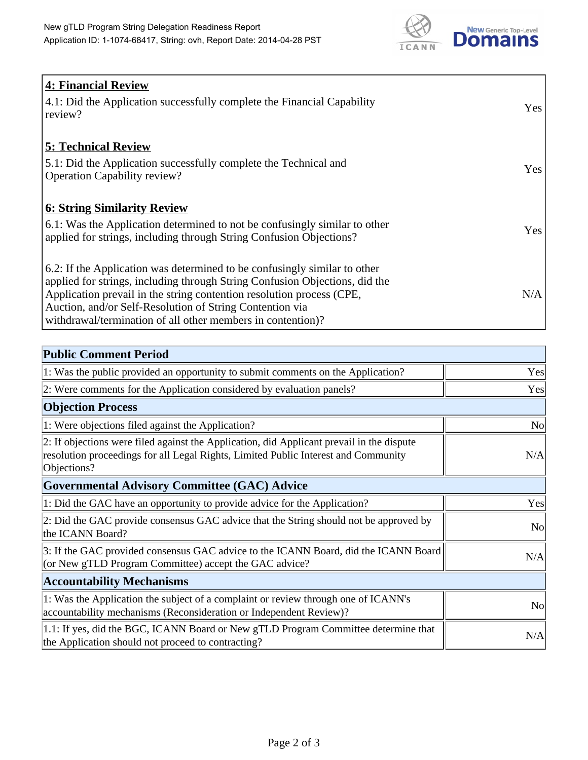

| <b>4: Financial Review</b>                                                  |     |
|-----------------------------------------------------------------------------|-----|
| 4.1: Did the Application successfully complete the Financial Capability     | Yes |
| review?                                                                     |     |
|                                                                             |     |
| <b>5: Technical Review</b>                                                  |     |
| 5.1: Did the Application successfully complete the Technical and            |     |
| <b>Operation Capability review?</b>                                         | Yes |
|                                                                             |     |
| <b>6: String Similarity Review</b>                                          |     |
| 6.1: Was the Application determined to not be confusingly similar to other  | Yes |
| applied for strings, including through String Confusion Objections?         |     |
|                                                                             |     |
| 6.2: If the Application was determined to be confusingly similar to other   |     |
| applied for strings, including through String Confusion Objections, did the |     |
| Application prevail in the string contention resolution process (CPE,       | N/A |
| Auction, and/or Self-Resolution of String Contention via                    |     |
| withdrawal/termination of all other members in contention)?                 |     |

| <b>Public Comment Period</b>                                                                                                                                                                   |                |
|------------------------------------------------------------------------------------------------------------------------------------------------------------------------------------------------|----------------|
| 1: Was the public provided an opportunity to submit comments on the Application?                                                                                                               | Yes            |
| 2: Were comments for the Application considered by evaluation panels?                                                                                                                          | Yes            |
| <b>Objection Process</b>                                                                                                                                                                       |                |
| 1: Were objections filed against the Application?                                                                                                                                              | <b>No</b>      |
| 2: If objections were filed against the Application, did Applicant prevail in the dispute<br>resolution proceedings for all Legal Rights, Limited Public Interest and Community<br>Objections? | N/A            |
| <b>Governmental Advisory Committee (GAC) Advice</b>                                                                                                                                            |                |
| 1: Did the GAC have an opportunity to provide advice for the Application?                                                                                                                      | Yes            |
| 2: Did the GAC provide consensus GAC advice that the String should not be approved by<br>the ICANN Board?                                                                                      | N <sub>o</sub> |
| 3: If the GAC provided consensus GAC advice to the ICANN Board, did the ICANN Board<br>(or New gTLD Program Committee) accept the GAC advice?                                                  | N/A            |
| <b>Accountability Mechanisms</b>                                                                                                                                                               |                |
| 1: Was the Application the subject of a complaint or review through one of ICANN's<br>accountability mechanisms (Reconsideration or Independent Review)?                                       | N <sub>o</sub> |
| 1.1: If yes, did the BGC, ICANN Board or New gTLD Program Committee determine that<br>the Application should not proceed to contracting?                                                       | N/A            |